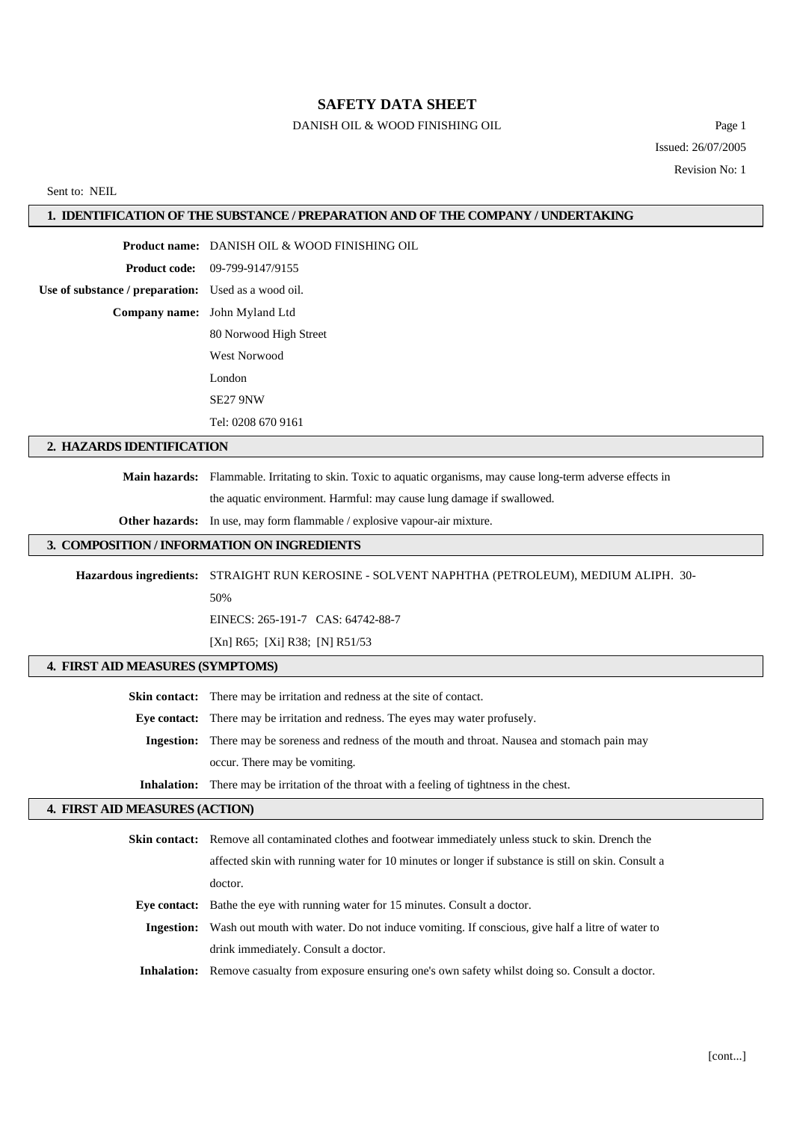#### **SAFETY DATA SHEET**

### DANISH OIL & WOOD FINISHING OIL Page 1

Issued: 26/07/2005 Revision No: 1

#### Sent to: NEIL

#### **1. IDENTIFICATION OF THE SUBSTANCE / PREPARATION AND OF THE COMPANY / UNDERTAKING**

**Product name:** DANISH OIL & WOOD FINISHING OIL

**Product code:** 09-799-9147/9155

**Use of substance / preparation:** Used as a wood oil. **Company name:** John Myland Ltd

> 80 Norwood High Street West Norwood

London

SE27 9NW

Tel: 0208 670 9161

### **2. HAZARDS IDENTIFICATION**

**Main hazards:** Flammable. Irritating to skin. Toxic to aquatic organisms, may cause long-term adverse effects in

the aquatic environment. Harmful: may cause lung damage if swallowed.

**Other hazards:** In use, may form flammable / explosive vapour-air mixture.

#### **3. COMPOSITION / INFORMATION ON INGREDIENTS**

**Hazardous ingredients:** STRAIGHT RUN KEROSINE - SOLVENT NAPHTHA (PETROLEUM), MEDIUM ALIPH. 30-

50%

EINECS: 265-191-7 CAS: 64742-88-7

[Xn] R65; [Xi] R38; [N] R51/53

### **4. FIRST AID MEASURES (SYMPTOMS)**

**Skin contact:** There may be irritation and redness at the site of contact. **Eye contact:** There may be irritation and redness. The eyes may water profusely. **Ingestion:** There may be soreness and redness of the mouth and throat. Nausea and stomach pain may occur. There may be vomiting. **Inhalation:** There may be irritation of the throat with a feeling of tightness in the chest.

#### **4. FIRST AID MEASURES (ACTION)**

|            | <b>Skin contact:</b> Remove all contaminated clothes and footwear immediately unless stuck to skin. Drench the |  |  |
|------------|----------------------------------------------------------------------------------------------------------------|--|--|
|            | affected skin with running water for 10 minutes or longer if substance is still on skin. Consult a             |  |  |
|            | doctor.                                                                                                        |  |  |
|            | <b>Eye contact:</b> Bathe the eye with running water for 15 minutes. Consult a doctor.                         |  |  |
| Ingestion: | Wash out mouth with water. Do not induce vomiting. If conscious, give half a litre of water to                 |  |  |
|            | drink immediately. Consult a doctor.                                                                           |  |  |
|            | <b>Inhalation:</b> Remove casualty from exposure ensuring one's own safety whilst doing so. Consult a doctor.  |  |  |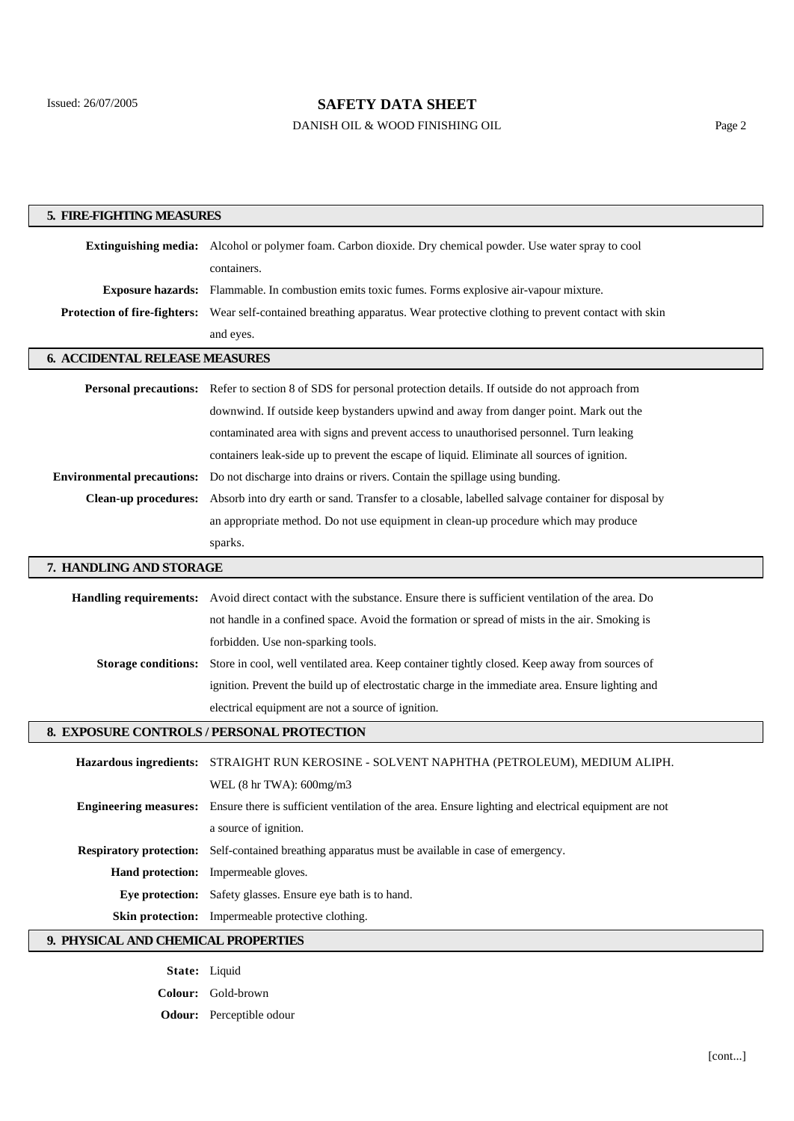$\overline{\phantom{a}}$ 

 $\overline{\phantom{a}}$ 

# **SAFETY DATA SHEET**

## DANISH OIL & WOOD FINISHING OIL Page 2

| 5. FIRE-FIGHTING MEASURES             |                                                                                                                                   |  |  |  |  |  |
|---------------------------------------|-----------------------------------------------------------------------------------------------------------------------------------|--|--|--|--|--|
|                                       | Extinguishing media: Alcohol or polymer foam. Carbon dioxide. Dry chemical powder. Use water spray to cool                        |  |  |  |  |  |
|                                       | containers.                                                                                                                       |  |  |  |  |  |
|                                       | <b>Exposure hazards:</b> Flammable. In combustion emits toxic fumes. Forms explosive air-vapour mixture.                          |  |  |  |  |  |
|                                       | Protection of fire-fighters: Wear self-contained breathing apparatus. Wear protective clothing to prevent contact with skin       |  |  |  |  |  |
|                                       | and eyes.                                                                                                                         |  |  |  |  |  |
| <b>6. ACCIDENTAL RELEASE MEASURES</b> |                                                                                                                                   |  |  |  |  |  |
|                                       |                                                                                                                                   |  |  |  |  |  |
|                                       | Personal precautions: Refer to section 8 of SDS for personal protection details. If outside do not approach from                  |  |  |  |  |  |
|                                       | downwind. If outside keep bystanders upwind and away from danger point. Mark out the                                              |  |  |  |  |  |
|                                       | contaminated area with signs and prevent access to unauthorised personnel. Turn leaking                                           |  |  |  |  |  |
|                                       | containers leak-side up to prevent the escape of liquid. Eliminate all sources of ignition.                                       |  |  |  |  |  |
| <b>Environmental precautions:</b>     | Do not discharge into drains or rivers. Contain the spillage using bunding.                                                       |  |  |  |  |  |
| <b>Clean-up procedures:</b>           | Absorb into dry earth or sand. Transfer to a closable, labelled salvage container for disposal by                                 |  |  |  |  |  |
|                                       | an appropriate method. Do not use equipment in clean-up procedure which may produce                                               |  |  |  |  |  |
|                                       | sparks.                                                                                                                           |  |  |  |  |  |
| 7. HANDLING AND STORAGE               |                                                                                                                                   |  |  |  |  |  |
|                                       | Handling requirements: Avoid direct contact with the substance. Ensure there is sufficient ventilation of the area. Do            |  |  |  |  |  |
|                                       | not handle in a confined space. Avoid the formation or spread of mists in the air. Smoking is                                     |  |  |  |  |  |
|                                       | forbidden. Use non-sparking tools.                                                                                                |  |  |  |  |  |
| <b>Storage conditions:</b>            | Store in cool, well ventilated area. Keep container tightly closed. Keep away from sources of                                     |  |  |  |  |  |
|                                       | ignition. Prevent the build up of electrostatic charge in the immediate area. Ensure lighting and                                 |  |  |  |  |  |
|                                       | electrical equipment are not a source of ignition.                                                                                |  |  |  |  |  |
|                                       | 8. EXPOSURE CONTROLS / PERSONAL PROTECTION                                                                                        |  |  |  |  |  |
|                                       |                                                                                                                                   |  |  |  |  |  |
| <b>Hazardous ingredients:</b>         | STRAIGHT RUN KEROSINE - SOLVENT NAPHTHA (PETROLEUM), MEDIUM ALIPH.                                                                |  |  |  |  |  |
|                                       | WEL $(8 \text{ hr} \text{ TWA})$ : 600mg/m3                                                                                       |  |  |  |  |  |
|                                       | <b>Engineering measures:</b> Ensure there is sufficient ventilation of the area. Ensure lighting and electrical equipment are not |  |  |  |  |  |
|                                       | a source of ignition.                                                                                                             |  |  |  |  |  |
|                                       | <b>Respiratory protection:</b> Self-contained breathing apparatus must be available in case of emergency.                         |  |  |  |  |  |
|                                       | Hand protection: Impermeable gloves.                                                                                              |  |  |  |  |  |
|                                       | Eye protection: Safety glasses. Ensure eye bath is to hand.                                                                       |  |  |  |  |  |
|                                       | Skin protection: Impermeable protective clothing.                                                                                 |  |  |  |  |  |
| 9. PHYSICAL AND CHEMICAL PROPERTIES   |                                                                                                                                   |  |  |  |  |  |

**State:** Liquid **Colour:** Gold-brown **Odour:** Perceptible odour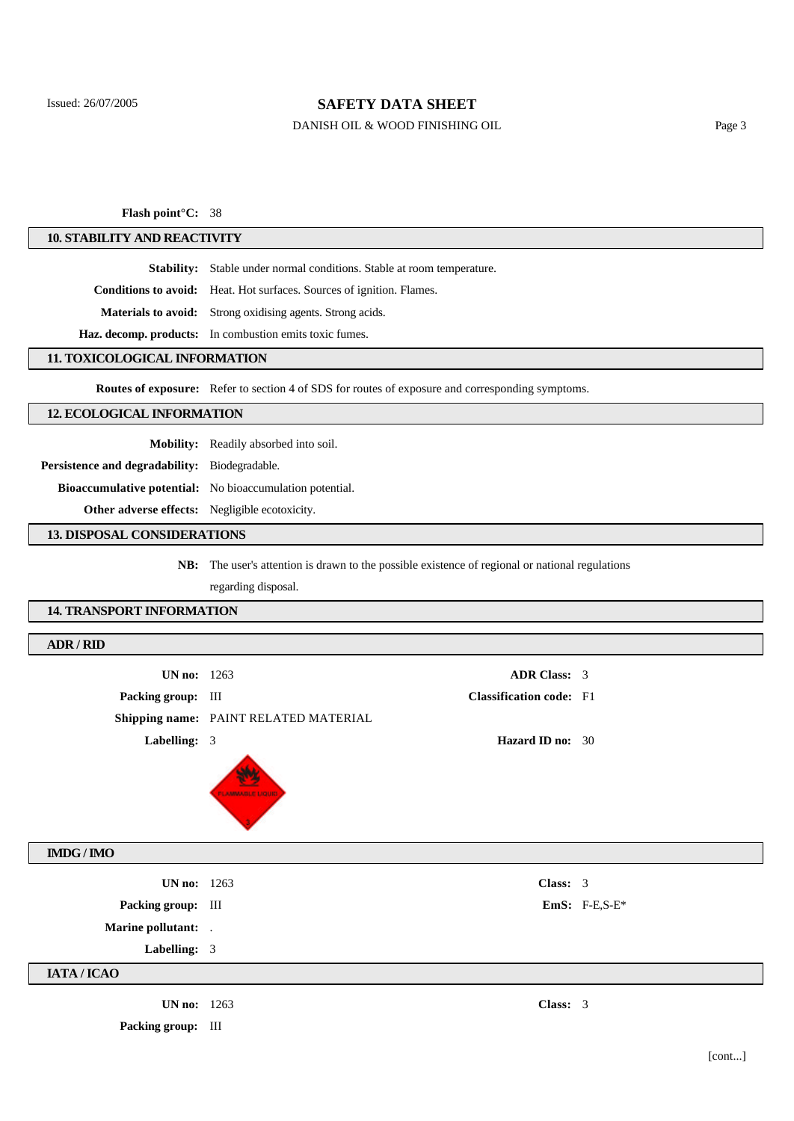### **SAFETY DATA SHEET**

### DANISH OIL & WOOD FINISHING OIL Page 3

**Flash point°C:** 38

#### **10. STABILITY AND REACTIVITY**

**Stability:** Stable under normal conditions. Stable at room temperature.

**Conditions to avoid:** Heat. Hot surfaces. Sources of ignition. Flames.

**Materials to avoid:** Strong oxidising agents. Strong acids.

**Haz. decomp. products:** In combustion emits toxic fumes.

#### **11. TOXICOLOGICAL INFORMATION**

**Routes of exposure:** Refer to section 4 of SDS for routes of exposure and corresponding symptoms.

#### **12. ECOLOGICAL INFORMATION**

**Mobility:** Readily absorbed into soil.

**Persistence and degradability:** Biodegradable.

**Bioaccumulative potential:** No bioaccumulation potential.

**Other adverse effects:** Negligible ecotoxicity.

#### **13. DISPOSAL CONSIDERATIONS**

**NB:** The user's attention is drawn to the possible existence of regional or national regulations

regarding disposal.

#### **14. TRANSPORT INFORMATION**

| ADR / RID                            |                                       |                                |                 |
|--------------------------------------|---------------------------------------|--------------------------------|-----------------|
| <b>UN no:</b> 1263                   |                                       | <b>ADR Class: 3</b>            |                 |
| Packing group: III                   |                                       | <b>Classification code:</b> F1 |                 |
|                                      | Shipping name: PAINT RELATED MATERIAL |                                |                 |
| Labelling: 3                         |                                       | <b>Hazard ID no: 30</b>        |                 |
|                                      | <b>FLAMMARILE LIQUID</b>              |                                |                 |
| $\mathbf{IMDG} \, / \, \mathbf{IMO}$ |                                       |                                |                 |
| <b>UN no:</b> 1263                   |                                       | Class: 3                       |                 |
| Packing group: III                   |                                       |                                | $EmS: F-E,S-E*$ |
| Marine pollutant: .                  |                                       |                                |                 |
| Labelling: 3                         |                                       |                                |                 |
| IATA / ICAO                          |                                       |                                |                 |
| <b>UN no:</b> 1263                   |                                       | Class: 3                       |                 |
| Packing group: III                   |                                       |                                |                 |